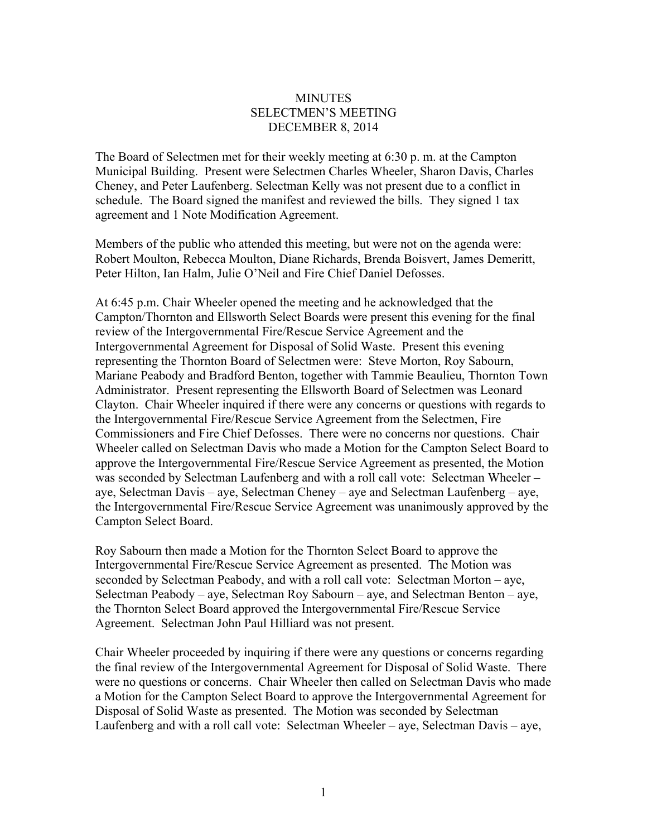## **MINUTES** SELECTMEN'S MEETING DECEMBER 8, 2014

The Board of Selectmen met for their weekly meeting at 6:30 p. m. at the Campton Municipal Building. Present were Selectmen Charles Wheeler, Sharon Davis, Charles Cheney, and Peter Laufenberg. Selectman Kelly was not present due to a conflict in schedule. The Board signed the manifest and reviewed the bills. They signed 1 tax agreement and 1 Note Modification Agreement.

Members of the public who attended this meeting, but were not on the agenda were: Robert Moulton, Rebecca Moulton, Diane Richards, Brenda Boisvert, James Demeritt, Peter Hilton, Ian Halm, Julie O'Neil and Fire Chief Daniel Defosses.

At 6:45 p.m. Chair Wheeler opened the meeting and he acknowledged that the Campton/Thornton and Ellsworth Select Boards were present this evening for the final review of the Intergovernmental Fire/Rescue Service Agreement and the Intergovernmental Agreement for Disposal of Solid Waste. Present this evening representing the Thornton Board of Selectmen were: Steve Morton, Roy Sabourn, Mariane Peabody and Bradford Benton, together with Tammie Beaulieu, Thornton Town Administrator. Present representing the Ellsworth Board of Selectmen was Leonard Clayton. Chair Wheeler inquired if there were any concerns or questions with regards to the Intergovernmental Fire/Rescue Service Agreement from the Selectmen, Fire Commissioners and Fire Chief Defosses. There were no concerns nor questions. Chair Wheeler called on Selectman Davis who made a Motion for the Campton Select Board to approve the Intergovernmental Fire/Rescue Service Agreement as presented, the Motion was seconded by Selectman Laufenberg and with a roll call vote: Selectman Wheeler – aye, Selectman Davis – aye, Selectman Cheney – aye and Selectman Laufenberg – aye, the Intergovernmental Fire/Rescue Service Agreement was unanimously approved by the Campton Select Board.

Roy Sabourn then made a Motion for the Thornton Select Board to approve the Intergovernmental Fire/Rescue Service Agreement as presented. The Motion was seconded by Selectman Peabody, and with a roll call vote: Selectman Morton – aye, Selectman Peabody – aye, Selectman Roy Sabourn – aye, and Selectman Benton – aye, the Thornton Select Board approved the Intergovernmental Fire/Rescue Service Agreement. Selectman John Paul Hilliard was not present.

Chair Wheeler proceeded by inquiring if there were any questions or concerns regarding the final review of the Intergovernmental Agreement for Disposal of Solid Waste. There were no questions or concerns. Chair Wheeler then called on Selectman Davis who made a Motion for the Campton Select Board to approve the Intergovernmental Agreement for Disposal of Solid Waste as presented. The Motion was seconded by Selectman Laufenberg and with a roll call vote: Selectman Wheeler – aye, Selectman Davis – aye,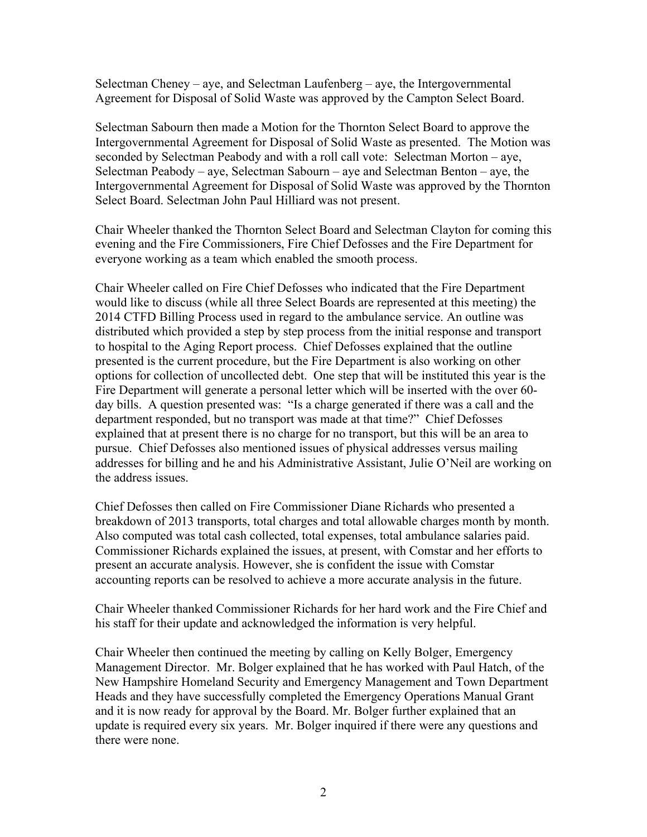Selectman Cheney – aye, and Selectman Laufenberg – aye, the Intergovernmental Agreement for Disposal of Solid Waste was approved by the Campton Select Board.

Selectman Sabourn then made a Motion for the Thornton Select Board to approve the Intergovernmental Agreement for Disposal of Solid Waste as presented. The Motion was seconded by Selectman Peabody and with a roll call vote: Selectman Morton – aye, Selectman Peabody – aye, Selectman Sabourn – aye and Selectman Benton – aye, the Intergovernmental Agreement for Disposal of Solid Waste was approved by the Thornton Select Board. Selectman John Paul Hilliard was not present.

Chair Wheeler thanked the Thornton Select Board and Selectman Clayton for coming this evening and the Fire Commissioners, Fire Chief Defosses and the Fire Department for everyone working as a team which enabled the smooth process.

Chair Wheeler called on Fire Chief Defosses who indicated that the Fire Department would like to discuss (while all three Select Boards are represented at this meeting) the 2014 CTFD Billing Process used in regard to the ambulance service. An outline was distributed which provided a step by step process from the initial response and transport to hospital to the Aging Report process. Chief Defosses explained that the outline presented is the current procedure, but the Fire Department is also working on other options for collection of uncollected debt. One step that will be instituted this year is the Fire Department will generate a personal letter which will be inserted with the over 60 day bills. A question presented was: "Is a charge generated if there was a call and the department responded, but no transport was made at that time?" Chief Defosses explained that at present there is no charge for no transport, but this will be an area to pursue. Chief Defosses also mentioned issues of physical addresses versus mailing addresses for billing and he and his Administrative Assistant, Julie O'Neil are working on the address issues.

Chief Defosses then called on Fire Commissioner Diane Richards who presented a breakdown of 2013 transports, total charges and total allowable charges month by month. Also computed was total cash collected, total expenses, total ambulance salaries paid. Commissioner Richards explained the issues, at present, with Comstar and her efforts to present an accurate analysis. However, she is confident the issue with Comstar accounting reports can be resolved to achieve a more accurate analysis in the future.

Chair Wheeler thanked Commissioner Richards for her hard work and the Fire Chief and his staff for their update and acknowledged the information is very helpful.

Chair Wheeler then continued the meeting by calling on Kelly Bolger, Emergency Management Director. Mr. Bolger explained that he has worked with Paul Hatch, of the New Hampshire Homeland Security and Emergency Management and Town Department Heads and they have successfully completed the Emergency Operations Manual Grant and it is now ready for approval by the Board. Mr. Bolger further explained that an update is required every six years. Mr. Bolger inquired if there were any questions and there were none.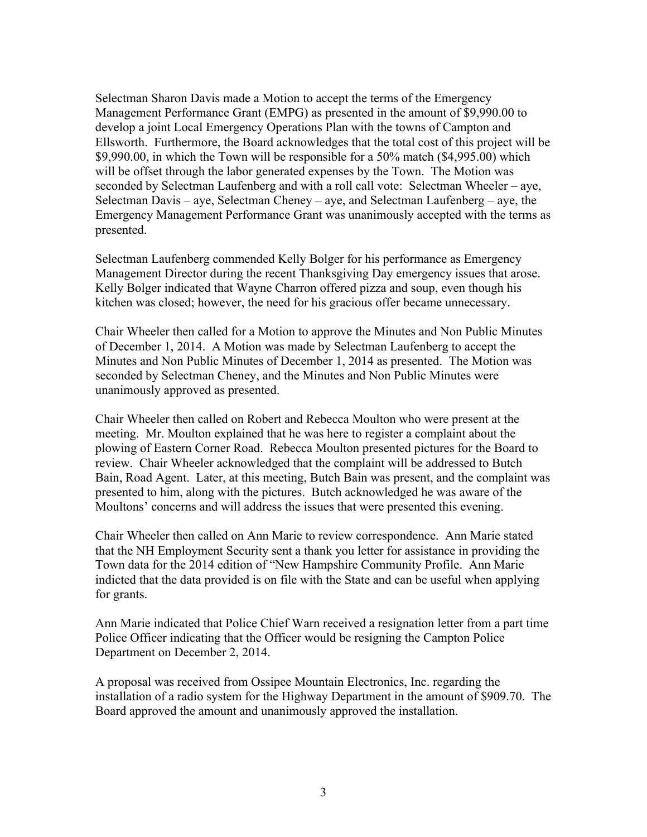Selectman Sharon Davis made a Motion to accept the terms of the Emergency Management Performance Grant (EMPG) as presented in the amount of \$9,990.00 to develop a joint Local Emergency Operations Plan with the towns of Campton and Ellsworth. Furthermore, the Board acknowledges that the total cost of this project will be \$9,990.00, in which the Town will be responsible for a 50% match (\$4,995.00) which will be offset through the labor generated expenses by the Town. The Motion was seconded by Selectman Laufenberg and with a roll call vote: Selectman Wheeler – aye, Selectman Davis – aye, Selectman Cheney – aye, and Selectman Laufenberg – aye, the Emergency Management Performance Grant was unanimously accepted with the terms as presented.

Selectman Laufenberg commended Kelly Bolger for his performance as Emergency Management Director during the recent Thanksgiving Day emergency issues that arose. Kelly Bolger indicated that Wayne Charron offered pizza and soup, even though his kitchen was closed; however, the need for his gracious offer became unnecessary.

Chair Wheeler then called for a Motion to approve the Minutes and Non Public Minutes of December 1, 2014. A Motion was made by Selectman Laufenberg to accept the Minutes and Non Public Minutes of December 1, 2014 as presented. The Motion was seconded by Selectman Cheney, and the Minutes and Non Public Minutes were unanimously approved as presented.

Chair Wheeler then called on Robert and Rebecca Moulton who were present at the meeting. Mr. Moulton explained that he was here to register a complaint about the plowing of Eastern Corner Road. Rebecca Moulton presented pictures for the Board to review. Chair Wheeler acknowledged that the complaint will be addressed to Butch Bain, Road Agent. Later, at this meeting, Butch Bain was present, and the complaint was presented to him, along with the pictures. Butch acknowledged he was aware of the Moultons' concerns and will address the issues that were presented this evening.

Chair Wheeler then called on Ann Marie to review correspondence. Ann Marie stated that the NH Employment Security sent a thank you letter for assistance in providing the Town data for the 2014 edition of "New Hampshire Community Profile. Ann Marie indicted that the data provided is on file with the State and can be useful when applying for grants.

Ann Marie indicated that Police Chief Warn received a resignation letter from a part time Police Officer indicating that the Officer would be resigning the Campton Police Department on December 2, 2014.

A proposal was received from Ossipee Mountain Electronics, Inc. regarding the installation of a radio system for the Highway Department in the amount of \$909.70. The Board approved the amount and unanimously approved the installation.